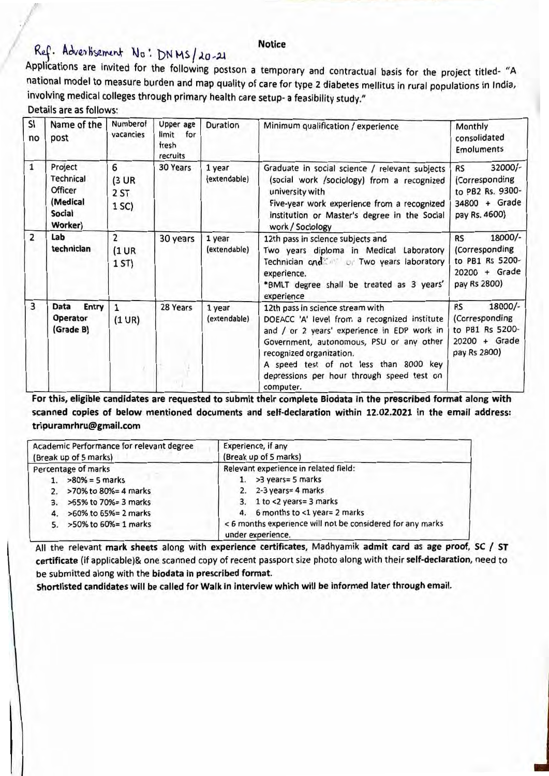#### **Notice**

# Ref. Advertisement No: DNMS/20-21

Applications are invited for the following postson a temporary and contractual basis for the project titled- "A national model to measure burden and map quality of care for type 2 diabetes mellitus in rural populations in India, involving medical colleges through primary health care setup- a feasibility study."

| Details are as follows: |  |  |  |
|-------------------------|--|--|--|
|-------------------------|--|--|--|

| SI<br>no       | Name of the<br>post                                                     | Numberof<br>vacancies                     | Upper age<br>limit<br>for<br>fresh<br>recruits | Duration               | Minimum qualification / experience                                                                                                                                                                                                                                                                           | Monthly<br>consolidated<br><b>Emoluments</b>                                                 |
|----------------|-------------------------------------------------------------------------|-------------------------------------------|------------------------------------------------|------------------------|--------------------------------------------------------------------------------------------------------------------------------------------------------------------------------------------------------------------------------------------------------------------------------------------------------------|----------------------------------------------------------------------------------------------|
| $\mathbf{1}$   | Project<br>Technical<br>Officer<br>(Medical<br><b>Social</b><br>Worker) | 6<br>$(3 \text{ UR})$<br>2 ST<br>1 SC)    | 30 Years                                       | 1 year<br>(extendable) | Graduate in social science / relevant subjects<br>(social work /sociology) from a recognized<br>university with<br>Five-year work experience from a recognized<br>institution or Master's degree in the Social<br>work / Sociology                                                                           | 32000/-<br><b>RS</b><br>(Corresponding<br>to PB2 Rs. 9300-<br>34800 + Grade<br>pay Rs. 4600) |
| $\overline{2}$ | Lab<br>technician                                                       | $\overline{2}$<br>$(1 \text{ UR})$<br>1ST | 30 years                                       | 1 year<br>(extendable) | 12th pass in science subjects and<br>Two years diploma in Medical Laboratory<br>Technician and Two years laboratory<br>experience.<br>*BMLT degree shall be treated as 3 years'<br>experience                                                                                                                | 18000/-<br><b>RS</b><br>(Corresponding<br>to PB1 Rs 5200-<br>20200 + Grade<br>pay Rs 2800)   |
| 3              | Data<br>Entry<br>Operator<br>(Grade B)                                  | $\mathbf{1}$<br>$(1 \text{ UR})$          | 28 Years                                       | 1 year<br>(extendable) | 12th pass in science stream with<br>DOEACC 'A' level from a recognized institute<br>and / or 2 years' experience in EDP work in<br>Government, autonomous, PSU or any other<br>recognized organization.<br>A speed test of not less than 8000 key<br>depressions per hour through speed test on<br>computer. | 18000/-<br><b>RS</b><br>(Corresponding<br>to PB1 Rs 5200-<br>$20200 +$ Grade<br>pay Rs 2800) |

For this, eligible candidates are requested to submit their complete Biodata in the prescribed format along with scanned copies of below mentioned documents and self-declaration within 12.02.2021 in the email address: tripuramrhru@gmail.com

| Academic Performance for relevant degree       | Experience, if any                                                              |
|------------------------------------------------|---------------------------------------------------------------------------------|
| (Break up of 5 marks)<br>(Break up of 5 marks) |                                                                                 |
| Percentage of marks                            | Relevant experience in related field:                                           |
| $>80\% = 5$ marks                              | 1. $>3$ years= 5 marks                                                          |
| >70% to 80%= 4 marks<br>2.                     | 2. $2-3$ years = 4 marks                                                        |
| 3. >65% to 70%= 3 marks                        | 3. 1 to <2 years= 3 marks                                                       |
| >60% to 65%= 2 marks<br>4.                     | 4. 6 months to <1 year= 2 marks                                                 |
| 5. > 50% to 60% = 1 marks                      | < 6 months experience will not be considered for any marks<br>under experience. |

All the relevant mark sheets along with experience certificates, Madhyamik admit card as age proof, SC / ST certificate (if applicable)& one scanned copy of recent passport size photo along with their self-declaration, need to be submitted along with the biodata in prescribed format.

Shortlisted candidates will be called for Walk in interview which will be informed later through email.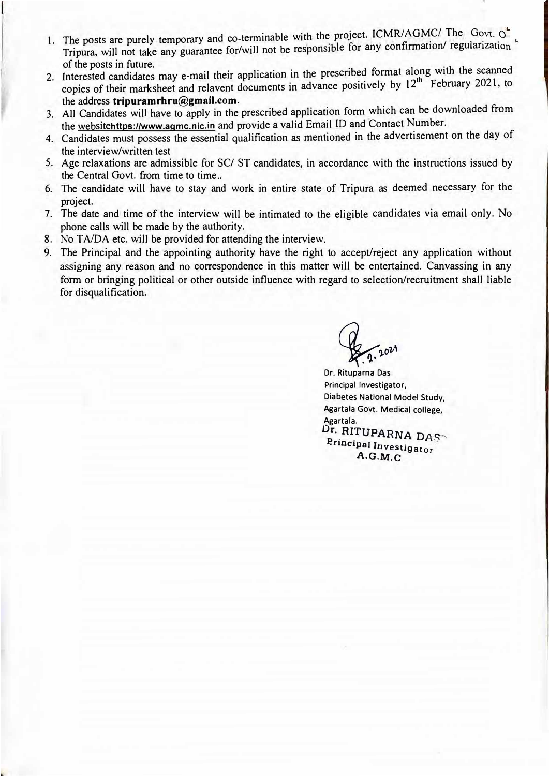- 1. The posts are purely temporary and co-terminable with the project. ICMR/AGMC/ The Govt.  $\alpha$ Tripura, will not take any guarantee for/will not be responsible for any confirmation/ regularization of the posts in future.
- of the posts in future.<br>2. Interested candidates may e-mail their application in the prescribed format along with the scanned copies of their marksheet and relavent documents in advance positively by  $12^{th}$  February 2021, to the address **tripuramrhru@gmail.com.**
- 3. All Candidates will have to apply in the prescribed application form which can be downloaded from the websitehttps:l/www.agmc.nic.in and provide a valid Email ID and Contact Number.
- 4. Candidates must possess the essential qualification as mentioned in the advertisement on the day of the interview/written test
- 5. Age relaxations are admissible for SC/ ST candidates, in accordance with the instructions issued by the Central Govt. from time to time ..
- 6. The candidate will have to stay and work in entire state of Tripura as deemed necessary for the project.
- 7. The date and time of the interview will be intimated to the eligible candidates via email only. No phone calls will be made by the authority.
- 8. No TA/DA etc. will be provided for attending the interview.
- 9. The Principal and the appointing authority have the right to accept/reject any application without assigning any reason and no correspondence in this matter will be entertained. Canvassing in any form or bringing political or other outside influence with regard to selection/recruitment shall liable for disqualification.

**Pag. 2021**  $\bigwedge$ . 2.

Dr. Rituparna Das Principal Investigator, Diabetes National Model Study, Agartala Govt. Medical college, Agartala. Dr. RITUPARNA DAS Principal Investigator A G **· .M.C**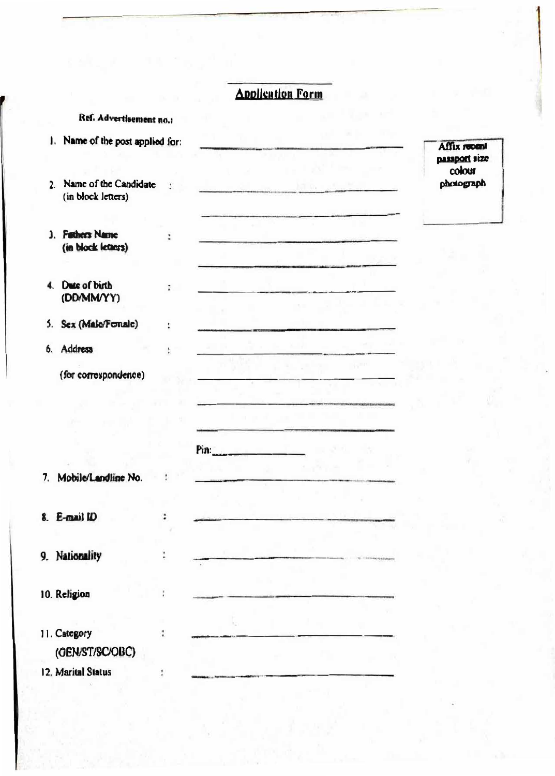### **Application Form**

<u>and a strong of</u>

سيطيب

|  | Ref. Advertisement no.: |  |  |
|--|-------------------------|--|--|
|--|-------------------------|--|--|

| manne of the post applied for:              |  |
|---------------------------------------------|--|
| Name of the Candidate<br>(in block letters) |  |
|                                             |  |

t

 $\ddot{i}$ 

ţ.

ŧ

÷

 $\ddot{\phantom{a}}$ 

 $\ddot{\cdot}$ 

ť

ł.

÷

Pin: **Pine** 

- 3. Fathers Name (in block letaurs)
- 4. Dute of birth (DD/MM/YY)
- 5. Sex (Male/Fonale)
- 6. Address

| (for correspondence) |  |  |  |  |  |
|----------------------|--|--|--|--|--|
|----------------------|--|--|--|--|--|

7. Mobile/Landline No.

8. E-mail ID

9. Nationality

10. Religion

11. Category (OEN/ST/SC/OBC)

12. Marital Status

Affix recent passport size colour photograph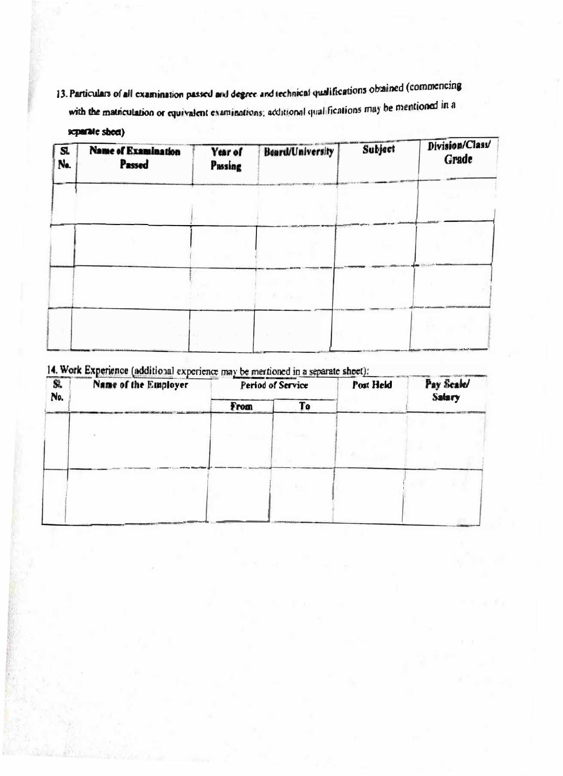13. Particulars of all examination passed and degree and technical qualifications obtained (commencing with the matriculation or equivalent examinations; acditional qualifications may be mentioned in a

### separate sheet)

| S.<br>Na. | <b>Name of Examination</b><br>Passed | Year of<br>Passing | <b>Beard/University</b> | Subject | Division/Class<br>Grade |
|-----------|--------------------------------------|--------------------|-------------------------|---------|-------------------------|
|           |                                      |                    |                         |         |                         |
|           |                                      |                    |                         |         |                         |
|           |                                      |                    |                         |         |                         |
|           |                                      |                    |                         |         |                         |
|           |                                      |                    |                         |         |                         |

14. Work Experience (additional experience may be mertioned in a separate sheet):

| $\overline{\mathbf{S}}$ | <b><i>PERSONAL PROPERTY</i></b><br>Name of the Employer | <b>COLLECTIONS CONTINUES.</b><br>Period of Service |    | Post Held | Pay Scale/    |
|-------------------------|---------------------------------------------------------|----------------------------------------------------|----|-----------|---------------|
| No.                     |                                                         | From                                               | To |           | <b>Salary</b> |
|                         |                                                         |                                                    |    |           |               |
|                         |                                                         |                                                    |    |           |               |
|                         |                                                         |                                                    |    |           |               |